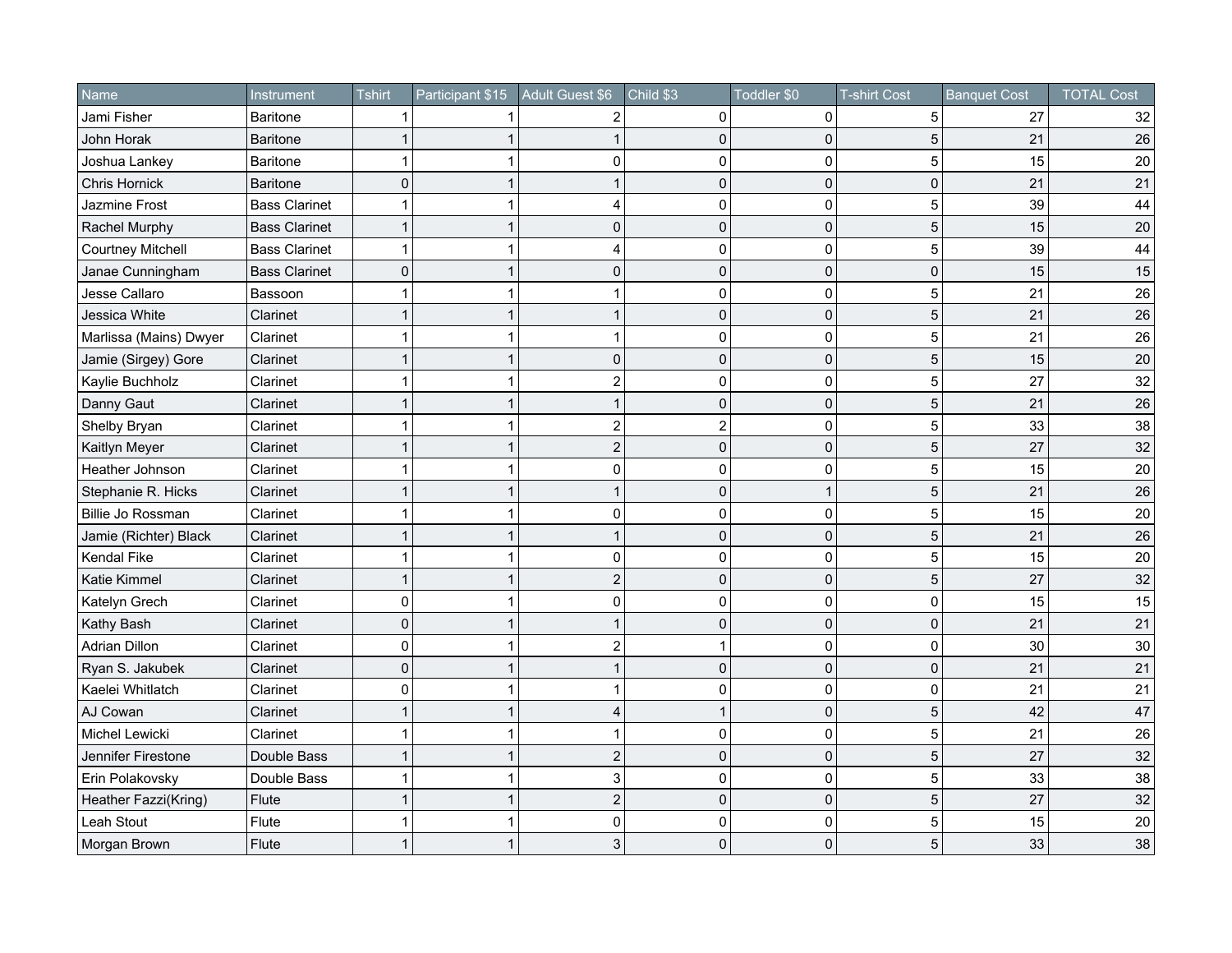| Name                     | Instrument           | <b>Tshirt</b> | Participant \$15 | Adult Guest \$6 | Child \$3    | Toddler \$0    | <b>T-shirt Cost</b> | <b>Banquet Cost</b> | <b>TOTAL Cost</b> |
|--------------------------|----------------------|---------------|------------------|-----------------|--------------|----------------|---------------------|---------------------|-------------------|
| Jami Fisher              | <b>Baritone</b>      |               |                  | 2               | $\mathbf{0}$ | 0              | 5                   | 27                  | 32                |
| John Horak               | <b>Baritone</b>      |               |                  |                 | $\mathbf{0}$ | 0              | 5                   | 21                  | 26                |
| Joshua Lankey            | <b>Baritone</b>      |               | 1                | 0               | 0            | $\mathbf 0$    | 5                   | 15                  | 20                |
| Chris Hornick            | <b>Baritone</b>      | $\Omega$      | 1                | 1               | $\Omega$     | $\overline{0}$ | $\Omega$            | 21                  | 21                |
| Jazmine Frost            | <b>Bass Clarinet</b> |               |                  | 4               | 0            | $\mathbf 0$    | 5                   | 39                  | 44                |
| Rachel Murphy            | <b>Bass Clarinet</b> |               |                  | $\mathbf{0}$    | $\mathbf{0}$ | $\mathbf{0}$   | 5                   | 15                  | 20                |
| <b>Courtney Mitchell</b> | <b>Bass Clarinet</b> |               | 1                | 4               | 0            | 0              | 5                   | 39                  | 44                |
| Janae Cunningham         | <b>Bass Clarinet</b> | $\mathbf 0$   |                  | $\mathbf 0$     | $\mathbf 0$  | $\mathbf 0$    | 0                   | 15                  | 15                |
| Jesse Callaro            | Bassoon              |               |                  |                 | 0            | $\mathbf 0$    | 5                   | 21                  | 26                |
| Jessica White            | Clarinet             |               | 1                | 1               | 0            | $\mathbf 0$    | 5                   | 21                  | 26                |
| Marlissa (Mains) Dwyer   | Clarinet             | 1             | 1                | 1               | 0            | $\mathbf 0$    | 5                   | 21                  | 26                |
| Jamie (Sirgey) Gore      | Clarinet             |               | $\mathbf{1}$     | 0               | 0            | $\mathbf 0$    | 5                   | 15                  | $20\,$            |
| Kaylie Buchholz          | Clarinet             |               |                  | $\overline{2}$  | 0            | $\mathbf 0$    | 5                   | 27                  | 32                |
| Danny Gaut               | Clarinet             |               | 1                |                 | 0            | $\mathbf 0$    | 5                   | 21                  | 26                |
| Shelby Bryan             | Clarinet             |               |                  | $\overline{c}$  | 2            | 0              | 5                   | 33                  | 38                |
| Kaitlyn Meyer            | Clarinet             |               |                  | $\overline{2}$  | $\mathbf 0$  | $\mathbf 0$    | 5                   | 27                  | 32                |
| Heather Johnson          | Clarinet             |               |                  | 0               | $\Omega$     | $\mathbf 0$    | 5                   | 15                  | 20                |
| Stephanie R. Hicks       | Clarinet             |               | 1                | 1               | $\mathbf{0}$ | $\mathbf 1$    | 5                   | 21                  | 26                |
| Billie Jo Rossman        | Clarinet             | 1             |                  | $\Omega$        | $\Omega$     | $\mathbf 0$    | 5                   | 15                  | 20                |
| Jamie (Richter) Black    | Clarinet             |               |                  |                 | $\mathbf{0}$ | $\mathbf 0$    | 5                   | 21                  | 26                |
| Kendal Fike              | Clarinet             |               |                  | 0               | 0            | $\mathbf 0$    | 5                   | 15                  | 20                |
| Katie Kimmel             | Clarinet             |               | 1                | $\overline{2}$  | $\Omega$     | $\mathbf 0$    | 5                   | 27                  | 32                |
| Katelyn Grech            | Clarinet             | 0             |                  | $\mathbf 0$     | 0            | 0              | 0                   | 15                  | 15                |
| Kathy Bash               | Clarinet             | $\mathbf{0}$  |                  |                 | $\Omega$     | $\mathbf 0$    | $\Omega$            | 21                  | 21                |
| <b>Adrian Dillon</b>     | Clarinet             | O             | 1                | 2               |              | 0              | 0                   | 30                  | 30                |
| Ryan S. Jakubek          | Clarinet             | $\Omega$      | 1                |                 | $\Omega$     | $\mathbf 0$    | $\pmb{0}$           | 21                  | 21                |
| Kaelei Whitlatch         | Clarinet             | $\Omega$      |                  |                 | 0            | $\mathbf 0$    | 0                   | 21                  | 21                |
| AJ Cowan                 | Clarinet             |               | 1                | 4               | 1            | $\mathbf 0$    | 5                   | 42                  | 47                |
| Michel Lewicki           | Clarinet             | 1             | 1                |                 | $\mathbf 0$  | 0              | 5                   | 21                  | 26                |
| Jennifer Firestone       | Double Bass          |               | 1                | $\overline{2}$  | $\mathbf 0$  | $\mathbf{0}$   | 5                   | 27                  | 32                |
| Erin Polakovsky          | Double Bass          |               |                  | 3               | 0            | $\mathbf 0$    | 5                   | 33                  | 38                |
| Heather Fazzi(Kring)     | Flute                |               | 1                | $\mathbf{2}$    | $\Omega$     | $\mathbf 0$    | 5                   | 27                  | 32                |
| Leah Stout               | Flute                |               |                  | $\mathbf 0$     | $\Omega$     | $\mathbf 0$    | 5                   | 15                  | 20                |
| Morgan Brown             | Flute                |               |                  | 3               | $\Omega$     | $\mathbf{0}$   | 5                   | 33                  | 38                |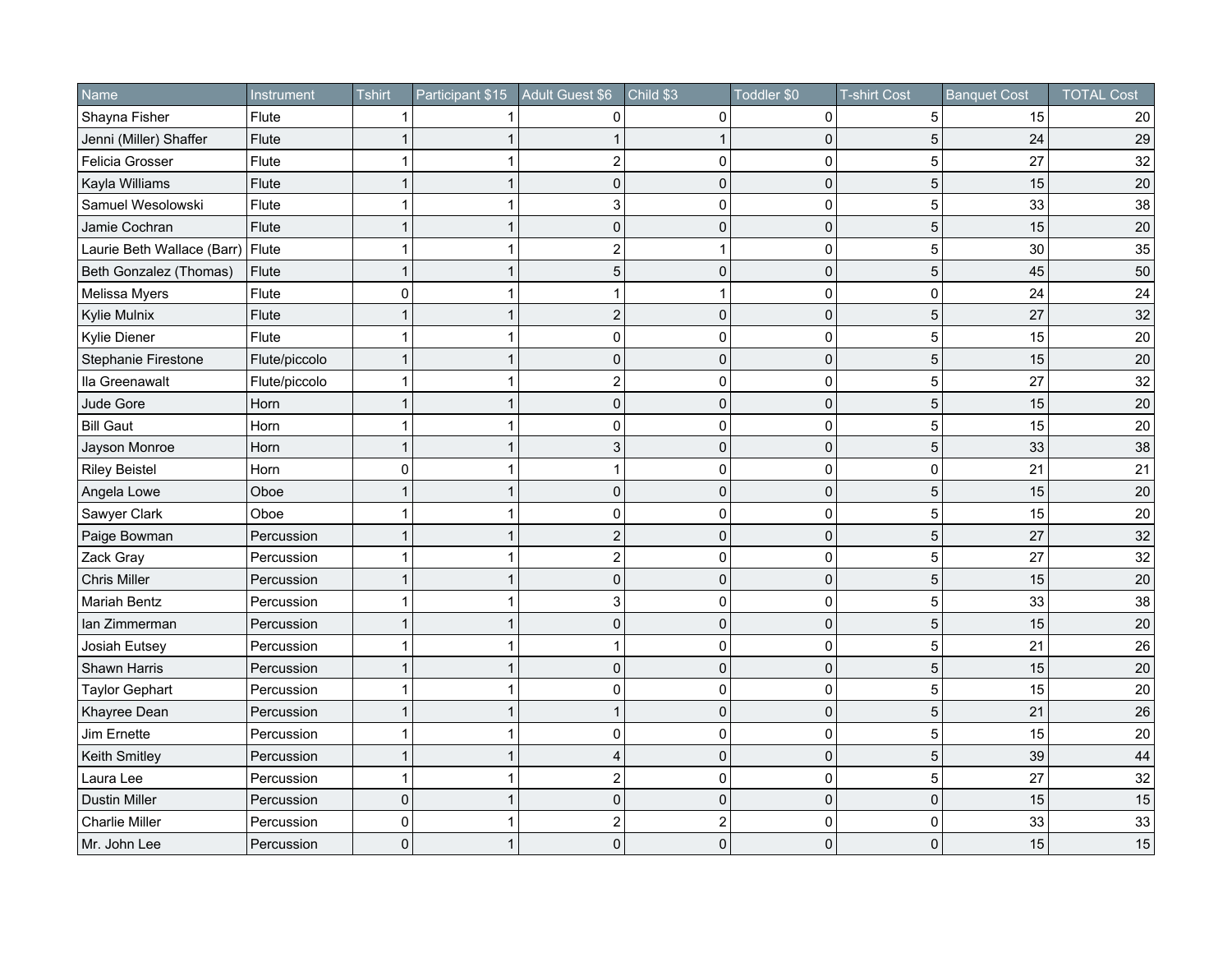| Name                       | Instrument    | <b>Tshirt</b> | Participant \$15 | Adult Guest \$6 | Child \$3      | Toddler \$0  | <b>T-shirt Cost</b> | <b>Banquet Cost</b> | <b>TOTAL Cost</b> |
|----------------------------|---------------|---------------|------------------|-----------------|----------------|--------------|---------------------|---------------------|-------------------|
| Shayna Fisher              | Flute         |               |                  | 0               | $\mathbf{0}$   | 0            | 5                   | 15                  | 20                |
| Jenni (Miller) Shaffer     | Flute         |               |                  |                 |                | 0            | 5                   | 24                  | 29                |
| Felicia Grosser            | Flute         |               |                  | $\overline{c}$  | 0              | 0            | 5                   | 27                  | 32                |
| Kayla Williams             | Flute         |               | 1                | 0               | $\mathbf{0}$   | $\mathbf 0$  | 5                   | 15                  | 20                |
| Samuel Wesolowski          | Flute         |               |                  | 3               | $\Omega$       | $\mathbf 0$  | 5                   | 33                  | 38                |
| Jamie Cochran              | Flute         |               |                  | $\mathbf 0$     | $\mathbf{0}$   | $\mathbf 0$  | 5                   | 15                  | 20                |
| Laurie Beth Wallace (Barr) | Flute         |               |                  | 2               |                | $\mathbf{0}$ | 5                   | 30                  | 35                |
| Beth Gonzalez (Thomas)     | Flute         |               |                  | 5               | $\mathbf{0}$   | 0            | 5                   | 45                  | 50                |
| Melissa Myers              | Flute         | C             |                  |                 |                | 0            | 0                   | 24                  | 24                |
| <b>Kylie Mulnix</b>        | Flute         |               |                  | $\overline{2}$  | $\mathbf{0}$   | $\mathbf 0$  | 5                   | 27                  | 32                |
| Kylie Diener               | Flute         |               | 1                | $\mathbf 0$     | $\Omega$       | $\mathbf 0$  | 5                   | 15                  | 20                |
| Stephanie Firestone        | Flute/piccolo |               | $\mathbf{1}$     | 0               | $\mathbf{0}$   | $\mathbf 0$  | 5                   | 15                  | 20                |
| Ila Greenawalt             | Flute/piccolo | 1             | 1                | $\overline{2}$  | $\Omega$       | $\mathbf 0$  | 5                   | 27                  | 32                |
| Jude Gore                  | Horn          |               | $\mathbf{1}$     | $\mathbf 0$     | 0              | $\mathbf 0$  | 5                   | 15                  | 20                |
| <b>Bill Gaut</b>           | Horn          |               |                  | $\Omega$        | $\Omega$       | 0            | 5                   | 15                  | 20                |
| Jayson Monroe              | Horn          |               |                  | 3               | $\mathbf 0$    | $\mathbf 0$  | 5                   | 33                  | 38                |
| <b>Riley Beistel</b>       | Horn          | $\mathbf 0$   |                  |                 | $\Omega$       | $\mathbf 0$  | $\Omega$            | 21                  | 21                |
| Angela Lowe                | Oboe          |               | 1                | $\mathbf 0$     | $\mathbf{0}$   | $\mathbf 0$  | 5                   | 15                  | 20                |
| Sawyer Clark               | Oboe          |               |                  | $\Omega$        | $\Omega$       | $\Omega$     | 5                   | 15                  | 20                |
| Paige Bowman               | Percussion    |               |                  | $\overline{2}$  | $\mathbf{0}$   | $\mathbf 0$  | 5                   | 27                  | 32                |
| Zack Gray                  | Percussion    |               |                  | $\overline{2}$  | 0              | $\mathbf{0}$ | 5                   | 27                  | 32                |
| <b>Chris Miller</b>        | Percussion    |               | 1                | $\mathbf 0$     | $\mathbf 0$    | 0            | 5                   | 15                  | 20                |
| Mariah Bentz               | Percussion    |               |                  | 3               | 0              | 0            | 5                   | 33                  | 38                |
| Ian Zimmerman              | Percussion    |               |                  | $\mathbf 0$     | 0              | $\mathbf 0$  | 5                   | 15                  | 20                |
| Josiah Eutsey              | Percussion    |               | 1                | 1               | 0              | $\mathbf 0$  | 5                   | 21                  | 26                |
| Shawn Harris               | Percussion    |               | $\overline{1}$   | 0               | $\mathbf{0}$   | $\mathbf 0$  | 5                   | 15                  | 20                |
| <b>Taylor Gephart</b>      | Percussion    |               |                  | $\mathbf{0}$    | 0              | $\mathbf 0$  | 5                   | 15                  | 20                |
| Khayree Dean               | Percussion    |               | 1                |                 | 0              | $\mathbf 0$  | 5                   | 21                  | 26                |
| Jim Ernette                | Percussion    |               |                  | $\mathbf 0$     | $\mathbf{0}$   | 0            | 5                   | 15                  | 20                |
| Keith Smitley              | Percussion    |               |                  | 4               | $\mathbf 0$    | $\mathbf 0$  | 5                   | 39                  | 44                |
| Laura Lee                  | Percussion    | 1             |                  | $\overline{c}$  | 0              | $\mathbf 0$  | 5                   | 27                  | 32                |
| <b>Dustin Miller</b>       | Percussion    | $\mathbf 0$   | 1                | 0               | $\Omega$       | $\mathbf 0$  | 0                   | 15                  | 15                |
| <b>Charlie Miller</b>      | Percussion    | $\Omega$      |                  | $\overline{c}$  | $\overline{2}$ | $\Omega$     | $\Omega$            | 33                  | 33                |
| Mr. John Lee               | Percussion    | $\Omega$      |                  | $\Omega$        | $\mathbf{0}$   | $\mathbf{0}$ | $\Omega$            | 15                  | 15                |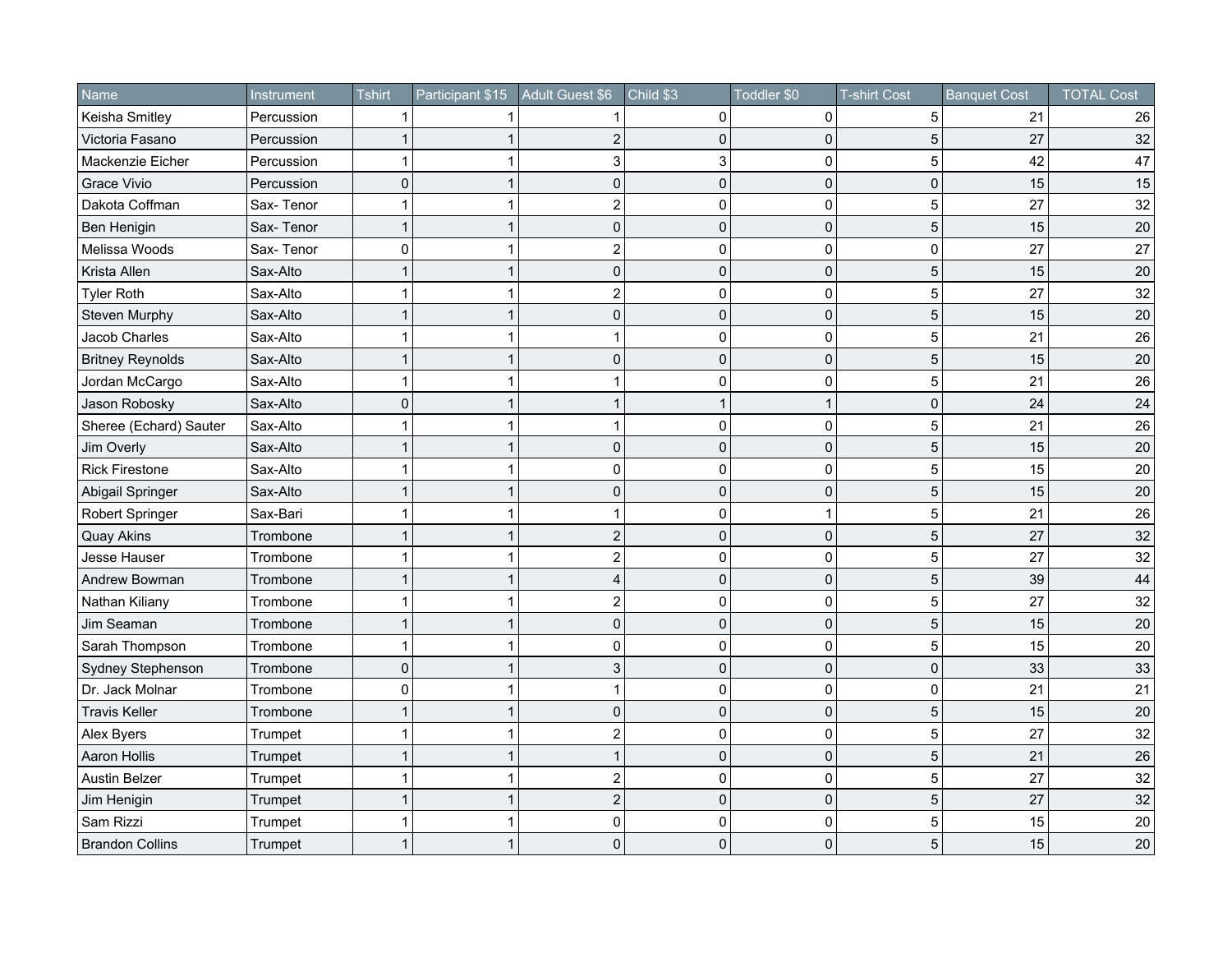| <b>Name</b>             | Instrument | <b>Tshirt</b> | Participant \$15 | Adult Guest \$6         | Child \$3      | Toddler \$0  | <b>T-shirt Cost</b> | <b>Banquet Cost</b> | <b>TOTAL Cost</b> |
|-------------------------|------------|---------------|------------------|-------------------------|----------------|--------------|---------------------|---------------------|-------------------|
| Keisha Smitley          | Percussion |               |                  |                         | $\Omega$       | 0            | 5                   | 21                  | 26                |
| Victoria Fasano         | Percussion |               |                  | 2                       | $\mathbf{0}$   | $\mathbf 0$  | 5                   | 27                  | 32                |
| Mackenzie Eicher        | Percussion | 1             | 1                | 3                       | 3              | $\mathbf 0$  | 5                   | 42                  | 47                |
| <b>Grace Vivio</b>      | Percussion | $\Omega$      | 1                | 0                       | $\Omega$       | $\Omega$     | $\Omega$            | 15                  | 15                |
| Dakota Coffman          | Sax-Tenor  | 1             |                  | $\overline{c}$          | 0              | $\mathbf 0$  | 5                   | 27                  | 32                |
| Ben Henigin             | Sax-Tenor  |               |                  | $\mathbf{0}$            | $\mathbf{0}$   | $\mathbf 0$  | 5                   | 15                  | 20                |
| Melissa Woods           | Sax-Tenor  | 0             | 1                | $\overline{2}$          | 0              | 0            | 0                   | 27                  | 27                |
| Krista Allen            | Sax-Alto   |               | 1                | 0                       | $\mathbf 0$    | $\mathbf 0$  | 5                   | 15                  | 20                |
| <b>Tyler Roth</b>       | Sax-Alto   |               | 1                | $\overline{2}$          | 0              | $\mathbf 0$  | 5                   | 27                  | 32                |
| Steven Murphy           | Sax-Alto   |               | 1                | $\mathsf 0$             | 0              | $\mathbf 0$  | 5                   | 15                  | 20                |
| Jacob Charles           | Sax-Alto   | 1             | 1                | 1                       | 0              | $\mathbf 0$  | 5                   | 21                  | 26                |
| <b>Britney Reynolds</b> | Sax-Alto   | 1             | $\mathbf{1}$     | 0                       | 0              | $\mathbf 0$  | 5                   | 15                  | $20\,$            |
| Jordan McCargo          | Sax-Alto   |               |                  |                         | 0              | $\mathbf 0$  | 5                   | 21                  | 26                |
| Jason Robosky           | Sax-Alto   | 0             | 1                |                         | 1              | 1            | 0                   | 24                  | 24                |
| Sheree (Echard) Sauter  | Sax-Alto   |               |                  |                         | $\Omega$       | $\mathbf 0$  | 5                   | 21                  | 26                |
| Jim Overly              | Sax-Alto   |               | 1                | $\mathbf 0$             | 0              | $\mathbf 0$  | 5                   | 15                  | 20                |
| <b>Rick Firestone</b>   | Sax-Alto   | 1             | 1                | $\overline{0}$          | $\Omega$       | $\mathbf 0$  | 5                   | 15                  | 20                |
| Abigail Springer        | Sax-Alto   |               | 1                | $\mathbf 0$             | $\mathbf{0}$   | $\mathbf 0$  | 5                   | 15                  | $20\,$            |
| Robert Springer         | Sax-Bari   | 1             |                  |                         | $\Omega$       |              | 5                   | 21                  | 26                |
| <b>Quay Akins</b>       | Trombone   |               |                  | $\overline{2}$          | $\mathbf{0}$   | $\mathbf 0$  | 5                   | 27                  | 32                |
| Jesse Hauser            | Trombone   |               |                  | $\overline{\mathbf{c}}$ | 0              | $\mathbf 0$  | 5                   | 27                  | 32                |
| Andrew Bowman           | Trombone   |               | 1                | $\overline{4}$          | $\Omega$       | $\mathbf 0$  | 5                   | 39                  | 44                |
| Nathan Kiliany          | Trombone   |               |                  | $\overline{c}$          | 0              | 0            | 5                   | 27                  | 32                |
| Jim Seaman              | Trombone   |               |                  | 0                       | $\Omega$       | $\mathbf 0$  | 5                   | 15                  | 20                |
| Sarah Thompson          | Trombone   |               | 1                | 0                       | 0              | $\mathbf 0$  | 5                   | 15                  | 20                |
| Sydney Stephenson       | Trombone   | $\Omega$      | $\mathbf{1}$     | 3                       | $\Omega$       | $\mathbf 0$  | $\pmb{0}$           | 33                  | 33                |
| Dr. Jack Molnar         | Trombone   | $\Omega$      |                  |                         | 0              | $\mathbf 0$  | 0                   | 21                  | 21                |
| <b>Travis Keller</b>    | Trombone   |               | 1                | 0                       | $\overline{0}$ | $\mathbf 0$  | 5                   | 15                  | 20                |
| Alex Byers              | Trumpet    | 1             | 1                | $\mathbf 2$             | 0              | 0            | 5                   | 27                  | 32                |
| Aaron Hollis            | Trumpet    |               | 1                |                         | $\mathbf 0$    | $\mathbf 0$  | 5                   | 21                  | 26                |
| <b>Austin Belzer</b>    | Trumpet    |               |                  | $\overline{c}$          | 0              | $\mathbf 0$  | 5                   | 27                  | 32                |
| Jim Henigin             | Trumpet    |               | 1                | $\overline{c}$          | $\Omega$       | $\mathbf 0$  | 5                   | 27                  | 32                |
| Sam Rizzi               | Trumpet    |               |                  | $\mathbf 0$             | $\Omega$       | $\mathbf 0$  | 5                   | 15                  | 20                |
| <b>Brandon Collins</b>  | Trumpet    |               |                  | $\mathbf 0$             | $\Omega$       | $\mathbf{0}$ | 5                   | 15                  | $20\,$            |